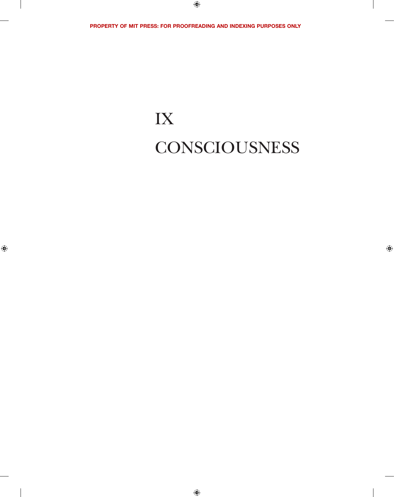IX CONSCIOUSNESS  $\overline{\phantom{a}}$ 

 $\bigoplus$ 

PROPERTY OF MIT PRESS: FOR PROOFREADING AND INDEXING PURPOSES ONLY

 $\bigoplus$ 

 $\bigoplus$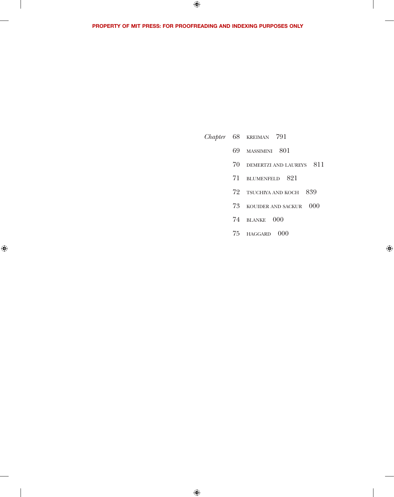$\bigoplus$ 

 $\mathcal{L}$ 

 $\bigoplus$ 

*Chapter* 68 KREIMAN 791

- 69 MASSIMINI 801
- 70 DEMERTZI AND LAUREYS 811

 $\overline{1}$ 

- 71 BLUMENFELD 821
- 72 TSUCHIYA AND KOCH 839
- 73 KOUIDER AND SACKUR 000
- 74 BLANKE 000
- 75 HAGGARD 000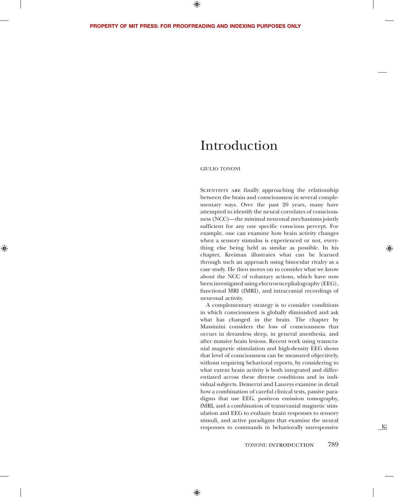# Introduction

#### GIULIO TONONI

⊕

⊕

SCIENTISTS ARE finally approaching the relationship between the brain and consciousness in several complementary ways. Over the past 20 years, many have attempted to identify the neural correlates of consciousness (NCC)—the minimal neuronal mechanisms jointly sufficient for any one specific conscious percept. For example, one can examine how brain activity changes when a sensory stimulus is experienced or not, everything else being held as similar as possible. In his chapter, Kreiman illustrates what can be learned through such an approach using binocular rivalry as a case study. He then moves on to consider what we know about the NCC of voluntary actions, which have now been investigated using electroencephalography (EEG), functional MRI (fMRI), and intracranial recordings of neuronal activity.

A complementary strategy is to consider conditions in which consciousness is globally diminished and ask what has changed in the brain. The chapter by Massimini considers the loss of consciousness that occurs in dreamless sleep, in general anesthesia, and after massive brain lesions. Recent work using transcranial magnetic stimulation and high-density EEG shows that level of consciousness can be measured objectively, without requiring behavioral reports, by considering to what extent brain activity is both integrated and differentiated across these diverse conditions and in individual subjects. Demertzi and Laureys examine in detail how a combination of careful clinical tests, passive paradigms that use EEG, positron emission tomography, fMRI, and a combination of transcranial magnetic stimulation and EEG to evaluate brain responses to sensory stimuli, and active paradigms that examine the neural responses to commands in behaviorally unresponsive

TONONI: INTRODUCTION 789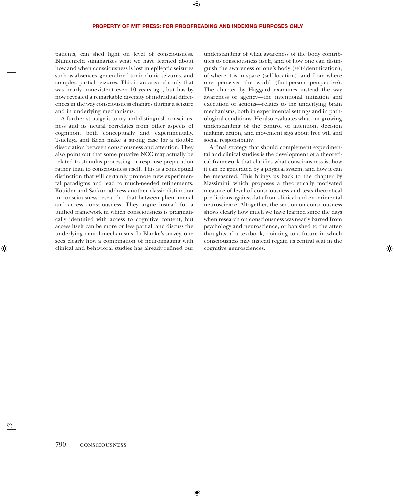⊕

patients, can shed light on level of consciousness. Blumenfeld summarizes what we have learned about how and when consciousness is lost in epileptic seizures such as absences, generalized tonic-clonic seizures, and complex partial seizures. This is an area of study that was nearly nonexistent even 10 years ago, but has by now revealed a remarkable diversity of individual differences in the way consciousness changes during a seizure and in underlying mechanisms.

A further strategy is to try and distinguish consciousness and its neural correlates from other aspects of cognition, both conceptually and experimentally. Tsuchiya and Koch make a strong case for a double dissociation between consciousness and attention. They also point out that some putative NCC may actually be related to stimulus processing or response preparation rather than to consciousness itself. This is a conceptual distinction that will certainly promote new experimental paradigms and lead to much-needed refinements. Kouider and Sackur address another classic distinction in consciousness research—that between phenomenal and access consciousness. They argue instead for a unified framework in which consciousness is pragmatically identified with access to cognitive content, but access itself can be more or less partial, and discuss the underlying neural mechanisms. In Blanke's survey, one sees clearly how a combination of neuroimaging with clinical and behavioral studies has already refined our

understanding of what awareness of the body contributes to consciousness itself, and of how one can distinguish the awareness of one's body (self-identification), of where it is in space (self-location), and from where one perceives the world (first-person perspective). The chapter by Haggard examines instead the way awareness of agency—the intentional initiation and execution of actions—relates to the underlying brain mechanisms, both in experimental settings and in pathological conditions. He also evaluates what our growing understanding of the control of intention, decision making, action, and movement says about free will and social responsibility.

A final strategy that should complement experimental and clinical studies is the development of a theoretical framework that clarifies what consciousness is, how it can be generated by a physical system, and how it can be measured. This brings us back to the chapter by Massimini, which proposes a theoretically motivated measure of level of consciousness and tests theoretical predictions against data from clinical and experimental neuroscience. Altogether, the section on consciousness shows clearly how much we have learned since the days when research on consciousness was nearly barred from psychology and neuroscience, or banished to the afterthoughts of a textbook, pointing to a future in which consciousness may instead regain its central seat in the cognitive neurosciences.

 $\zeta_2$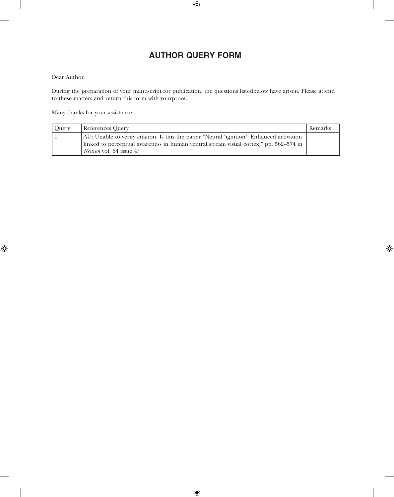# **AUTHOR QUERY FORM**

# Dear Author,

 $\mathbf{I}$ 

 $\bigoplus$ 

During the preparation of your manuscript for publication, the questions listedbelow have arisen. Please attend to these matters and return this form with yourproof.

Many thanks for your assistance.

| Query | References Query                                                                                                                                                                                                    | Remarks |
|-------|---------------------------------------------------------------------------------------------------------------------------------------------------------------------------------------------------------------------|---------|
|       | AU: Unable to verify citation. Is this the paper "Neural 'ignition': Enhanced activation<br>linked to perceptual awareness in human ventral stream visual cortex," pp. 562–574 in<br><i>Neuron</i> vol. 64 issue 4? |         |

 $\bigoplus$ 

 $\mathbf{I}$ 

 $\bigoplus$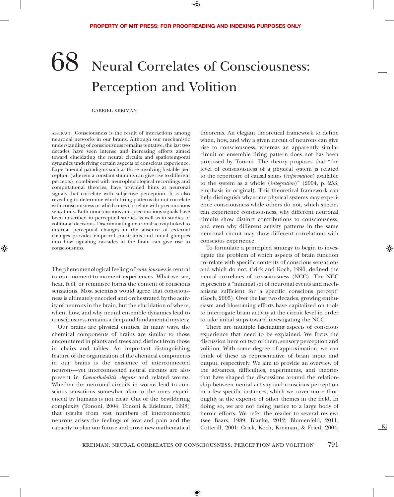# 68 Neural Correlates of Consciousness: Perception and Volition

GABRIEL KREIMAN

ABSTRACT Consciousness is the result of interactions among neuronal networks in our brains. Although our mechanistic understanding of consciousness remains tentative, the last two decades have seen intense and increasing efforts aimed toward elucidating the neural circuits and spatiotemporal dynamics underlying certain aspects of conscious experience. Experimental paradigms such as those involving bistable perception (wherein a constant stimulus can give rise to different percepts), combined with neurophysiological recordings and computational theories, have provided hints at neuronal signals that correlate with subjective perception. It is also revealing to determine which firing patterns do not correlate with consciousness or which ones correlate with preconscious sensations. Both nonconscious and preconscious signals have been described in perceptual studies as well as in studies of volitional decisions. Discriminating neuronal activity linked to internal perceptual changes in the absence of external changes provides empirical constraints and initial glimpses into how signaling cascades in the brain can give rise to consciousness.

The phenomenological feeling of *consciousness* is central to our moment-to-moment experiences. What we see, hear, feel, or reminisce forms the content of conscious sensations. Most scientists would agree that consciousness is ultimately encoded and orchestrated by the activity of neurons in the brain, but the elucidation of where, when, how, and why neural ensemble dynamics lead to consciousness remains a deep and fundamental mystery.

⊕

Our brains are physical entities. In many ways, the chemical components of brains are similar to those encountered in plants and trees and distinct from those in chairs and tables. An important distinguishing feature of the organization of the chemical components in our brains is the existence of interconnected neurons—yet interconnected neural circuits are also present in *Caenorhabditis elegans* and related worms. Whether the neuronal circuits in worms lead to conscious sensations somewhat akin to the ones experienced by humans is not clear. Out of the bewildering complexity (Tononi, 2004; Tononi & Edelman, 1998) that results from vast numbers of interconnected neurons arises the feelings of love and pain and the capacity to plan our future and prove new mathematical

theorems. An elegant theoretical framework to define when, how, and why a given circuit of neurons can give rise to consciousness, whereas an apparently similar circuit or ensemble firing pattern does not has been proposed by Tononi. The theory proposes that "the level of consciousness of a physical system is related to the repertoire of causal states (*information*) available to the system as a whole (*integration*)" (2004, p. 253, emphasis in original). This theoretical framework can help distinguish why some physical systems may experience consciousness while others do not, which species can experience consciousness, why different neuronal circuits show distinct contributions to consciousness, and even why different activity patterns in the same neuronal circuit may show different correlations with conscious experience.

To formulate a principled strategy to begin to investigate the problem of which aspects of brain function correlate with specific contents of conscious sensations and which do not, Crick and Koch, 1990, defined the neural correlates of consciousness (NCC). The NCC represents a "minimal set of neuronal events and mechanisms sufficient for a specific conscious percept" (Koch, 2005). Over the last two decades, growing enthusiasm and blossoming efforts have capitalized on tools to interrogate brain activity at the circuit level in order to take initial steps toward investigating the NCC.

There are multiple fascinating aspects of conscious experience that need to be explained. We focus the discussion here on two of them, sensory perception and volition. With some degree of approximation, we can think of these as representative of brain input and output, respectively. We aim to provide an overview of the advances, difficulties, experiments, and theories that have shaped the discussions around the relationship between neural activity and conscious perception in a few specific instances, which we cover more thoroughly at the expense of other themes in the field. In doing so, we are not doing justice to a large body of heroic efforts. We refer the reader to several reviews (see Baars, 1989; Blanke, 2012; Blumenfeld, 2011; Cotterill, 2001; Crick, Koch, Kreiman, & Fried, 2004;

 $\bigoplus$ 

 $K<sup>c</sup>$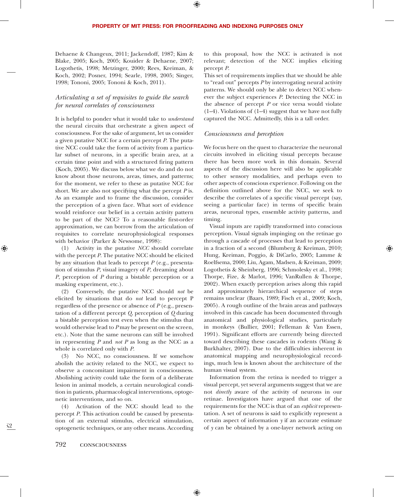Dehaene & Changeux, 2011; Jackendoff, 1987; Kim & Blake, 2005; Koch, 2005; Kouider & Dehaene, 2007; Logothetis, 1998; Metzinger, 2000; Rees, Kreiman, & Koch, 2002; Posner, 1994; Searle, 1998, 2005; Singer, 1998; Tononi, 2005; Tononi & Koch, 2011).

# *Articulating a set of requisites to guide the search for neural correlates of consciousness*

It is helpful to ponder what it would take to *understand* the neural circuits that orchestrate a given aspect of consciousness. For the sake of argument, let us consider a given putative NCC for a certain percept *P*. The putative NCC could take the form of activity from a particular subset of neurons, in a specific brain area, at a certain time point and with a structured firing pattern (Koch, 2005). We discuss below what we do and do not know about those neurons, areas, times, and patterns; for the moment, we refer to these as putative NCC for short. We are also not specifying what the percept *P* is. As an example and to frame the discussion, consider the perception of a given face. What sort of evidence would reinforce our belief in a certain activity pattern to be part of the NCC? To a reasonable first-order approximation, we can borrow from the articulation of requisites to correlate neurophysiological responses with behavior (Parker & Newsome, 1998):

(1) Activity in the putative *NCC* should correlate with the percept *P*. The putative NCC should be elicited by any situation that leads to percept *P* (e.g., presentation of stimulus *P*, visual imagery of *P*, dreaming about *P*, perception of *P* during a bistable perception or a masking experiment, etc.).

(2) Conversely, the putative NCC should *not* be elicited by situations that do *not* lead to percept P regardless of the presence or absence of *P* (e.g., presentation of a different percept *Q*, perception of *Q* during a bistable perception test even when the stimulus that would otherwise lead to *P* may be present on the screen, etc.). Note that the same neurons can still be involved in representing *P* and *not P* as long as the NCC as a whole is correlated only with *P*.

(3) No NCC, no consciousness. If we somehow abolish the activity related to the NCC, we expect to observe a concomitant impairment in consciousness. Abolishing activity could take the form of a deliberate lesion in animal models, a certain neurological condition in patients, pharmacological interventions, optogenetic interventions, and so on.

(4) Activation of the NCC should lead to the percept *P*. This activation could be caused by presentation of an external stimulus, electrical stimulation, optogenetic techniques, or any other means. According to this proposal, how the NCC is activated is not relevant; detection of the NCC implies eliciting percept *P*.

This set of requirements implies that we should be able to "read out" percepts *P* by interrogating neural activity patterns. We should only be able to detect NCC whenever the subject experiences *P*. Detecting the NCC in the absence of percept *P* or vice versa would violate (1–4). Violations of (1–4) suggest that we have not fully captured the NCC. Admittedly, this is a tall order.

#### *Consciousness and perception*

We focus here on the quest to characterize the neuronal circuits involved in eliciting visual percepts because there has been more work in this domain. Several aspects of the discussion here will also be applicable to other sensory modalities, and perhaps even to other aspects of conscious experience. Following on the definition outlined above for the NCC, we seek to describe the correlates of a specific visual percept (say, seeing a particular face) in terms of specific brain areas, neuronal types, ensemble activity patterns, and timing.

Visual inputs are rapidly transformed into conscious perception. Visual signals impinging on the retinae go through a cascade of processes that lead to perception in a fraction of a second (Blumberg & Kreiman, 2010; Hung, Kreiman, Poggio, & DiCarlo, 2005; Lamme & Roelfsema, 2000; Liu, Agam, Madsen, & Kreiman, 2009; Logothetis & Sheinberg, 1996; Schmolesky et al., 1998; Thorpe, Fize, & Marlot, 1996; VanRullen & Thorpe, 2002). When exactly perception arises along this rapid and approximately hierarchical sequence of steps remains unclear (Baars, 1989; Fisch et al., 2009; Koch, 2005). A rough outline of the brain areas and pathways involved in this cascade has been documented through anatomical and physiological studies, particularly in monkeys (Bullier, 2001; Felleman & Van Essen, 1991). Significant efforts are currently being directed toward describing these cascades in rodents (Wang & Burkhalter, 2007). Due to the difficulties inherent in anatomical mapping and neurophysiological recordings, much less is known about the architecture of the human visual system.

Information from the retina is needed to trigger a visual percept, yet several arguments suggest that we are not *directly* aware of the activity of neurons in our retinae. Investigators have argued that one of the requirements for the NCC is that of an *explicit* representation. A set of neurons is said to explicitly represent a certain aspect of information *y* if an accurate estimate of *y* can be obtained by a one-layer network acting on

 $\zeta_2$ 

⊕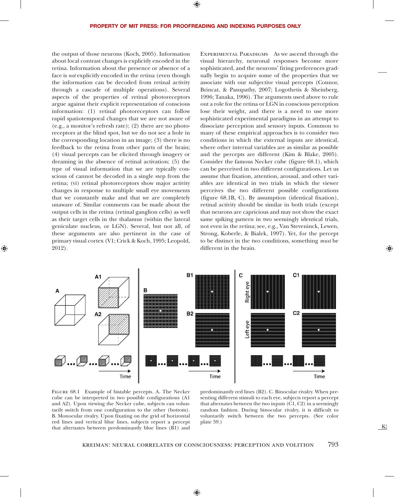the output of those neurons (Koch, 2005). Information about local contrast changes is explicitly encoded in the retina. Information about the presence or absence of a face is *not* explicitly encoded in the retina (even though the information can be decoded from retinal activity through a cascade of multiple operations). Several aspects of the properties of retinal photoreceptors argue against their explicit representation of conscious information: (1) retinal photoreceptors can follow rapid spatiotemporal changes that we are not aware of (e.g., a monitor's refresh rate); (2) there are no photoreceptors at the blind spot, but we do not see a hole in the corresponding location in an image; (3) there is no feedback to the retina from other parts of the brain; (4) visual percepts can be elicited through imagery or dreaming in the absence of retinal activation; (5) the type of visual information that we are typically conscious of cannot be decoded in a single step from the retina; (vi) retinal photoreceptors show major activity changes in response to multiple small eye movements that we constantly make and that we are completely unaware of. Similar comments can be made about the output cells in the retina (retinal ganglion cells) as well as their target cells in the thalamus (within the lateral geniculate nucleus, or LGN). Several, but not all, of these arguments are also pertinent in the case of primary visual cortex (V1; Crick & Koch, 1995; Leopold, 2012).

⊕

Experimental Paradigms As we ascend through the visual hierarchy, neuronal responses become more sophisticated, and the neurons' firing preferences gradually begin to acquire some of the properties that we associate with our subjective visual percepts (Connor, Brincat, & Pasupathy, 2007; Logothetis & Sheinberg, 1996; Tanaka, 1996). The arguments used above to rule out a role for the retina or LGN in conscious perception lose their weight, and there is a need to use more sophisticated experimental paradigms in an attempt to dissociate perception and sensory inputs. Common to many of these empirical approaches is to consider two conditions in which the external inputs are identical, where other internal variables are as similar as possible and the percepts are different (Kim & Blake, 2005). Consider the famous Necker cube (figure 68.1), which can be perceived in two different configurations. Let us assume that fixation, attention, arousal, and other variables are identical in two trials in which the viewer perceives the two different possible configurations (figure 68.1B, C). By assumption (identical fixation), retinal activity should be similar in both trials (except that neurons are capricious and may not show the exact same spiking pattern in two seemingly identical trials, not even in the retina; see, e.g., Van Steveninck, Lewen, Strong, Koberle, & Bialek, 1997). Yet, for the percept to be distinct in the two conditions, something *must* be different in the brain.



Figure 68.1 Example of bistable percepts. A. The Necker cube can be interpreted in two possible configurations (A1 and A2). Upon viewing the Necker cube, subjects can voluntarily switch from one configuration to the other (bottom). B. Monocular rivalry. Upon fixating on the grid of horizontal red lines and vertical blue lines, subjects report a percept that alternates between predominantly blue lines (B1) and

predominantly red lines (B2). C. Binocular rivalry. When presenting different stimuli to each eye, subjects report a percept that alternates between the two inputs (C1, C2) in a seemingly random fashion. During binocular rivalry, it is difficult to voluntarily switch between the two percepts. (See color plate 59.)

⊕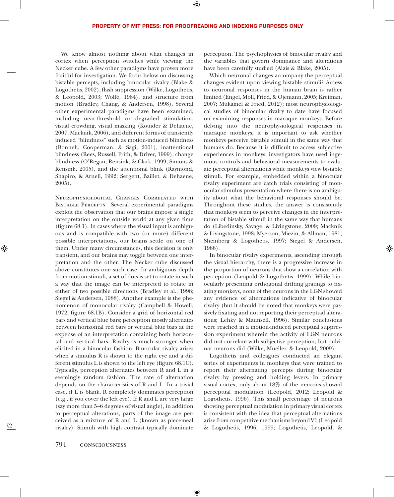We know almost nothing about what changes in cortex when perception switches while viewing the Necker cube. A few other paradigms have proven more fruitful for investigation. We focus below on discussing bistable percepts, including binocular rivalry (Blake & Logothetis, 2002), flash suppression (Wilke, Logothetis, & Leopold, 2003; Wolfe, 1984), and structure from motion (Bradley, Chang, & Andersen, 1998). Several other experimental paradigms have been examined, including near-threshold or degraded stimulation, visual crowding, visual masking (Kouider & Dehaene, 2007; Macknik, 2006), and different forms of transiently induced "blindness" such as motion-induced blindness (Bonneh, Cooperman, & Sagi, 2001), inattentional blindness (Rees, Russell, Frith, & Driver, 1999), change blindness (O'Regan, Rensink, & Clark, 1999; Simons & Rensink, 2005), and the attentional blink (Raymond, Shapiro, & Arnell, 1992; Sergent, Baillet, & Dehaene, 2005).

Neurophysiological Changes Correlated with BISTABLE PERCEPTS Several experimental paradigms exploit the observation that our brains impose a single interpretation on the outside world at any given time (figure 68.1). In cases where the visual input is ambiguous and is compatible with two (or more) different possible interpretations, our brains settle on one of them. Under many circumstances, this decision is only transient, and our brains may toggle between one interpretation and the other. The Necker cube discussed above constitutes one such case. In ambiguous depth from motion stimuli, a set of dots is set to rotate in such a way that the image can be interpreted to rotate in either of two possible directions (Bradley et al., 1998; Siegel & Andersen, 1988). Another example is the phenomenon of monocular rivalry (Campbell & Howell, 1972; figure 68.1B). Consider a grid of horizontal red bars and vertical blue bars; perception mostly alternates between horizontal red bars or vertical blue bars at the expense of an interpretation containing both horizontal and vertical bars. Rivalry is much stronger when elicited in a binocular fashion. Binocular rivalry arises when a stimulus R is shown to the right eye and a different stimulus L is shown to the left eye (figure 68.1C). Typically, perception alternates between R and L in a seemingly random fashion. The rate of alternation depends on the characteristics of R and L. In a trivial case, if L is blank, R completely dominates perception (e.g., if you cover the left eye). If R and L are very large (say more than 5–6 degrees of visual angle), in addition to perceptual alterations, parts of the image are perceived as a mixture of R and L (known as piecemeal rivalry). Stimuli with high contrast typically dominate

perception. The psychophysics of binocular rivalry and the variables that govern dominance and alterations have been carefully studied (Alais & Blake, 2005).

Which neuronal changes accompany the perceptual changes evident upon viewing bistable stimuli? Access to neuronal responses in the human brain is rather limited (Engel, Moll, Fried, & Ojemann, 2005; Kreiman, 2007; Mukamel & Fried, 2012); most neurophysiological studies of binocular rivalry to date have focused on examining responses in macaque monkeys. Before delving into the neurophysiological responses in macaque monkeys, it is important to ask whether monkeys perceive bistable stimuli in the same way that humans do. Because it is difficult to access subjective experiences in monkeys, investigators have used ingenious controls and behavioral measurements to evaluate perceptual alternations while monkeys view bistable stimuli. For example, embedded within a binocular rivalry experiment are catch trials consisting of monocular stimulus presentation where there is no ambiguity about what the behavioral responses should be. Throughout these studies, the answer is consistently that monkeys seem to perceive changes in the interpretation of bistable stimuli in the same way that humans do (Libedinsky, Savage, & Livingstone, 2009; Macknik & Livingstone, 1998; Myerson, Miezin, & Allman, 1981; Sheinberg & Logothetis, 1997; Siegel & Andersen, 1988).

In binocular rivalry experiments, ascending through the visual hierarchy, there is a progressive increase in the proportion of neurons that show a correlation with perception (Leopold & Logothetis, 1999). While binocularly presenting orthogonal drifting gratings to fixating monkeys, none of the neurons in the LGN showed any evidence of alternations indicative of binocular rivalry (but it should be noted that monkeys were passively fixating and not reporting their perceptual alterations; Lehky & Maunsell, 1996). Similar conclusions were reached in a motion-induced perceptual suppression experiment wherein the activity of LGN neurons did not correlate with subjective perception, but pulvinar neurons did (Wilke, Mueller, & Leopold, 2009).

Logothetis and colleagues conducted an elegant series of experiments in monkeys that were trained to report their alternating percepts during binocular rivalry by pressing and holding levers. In primary visual cortex, only about 18% of the neurons showed perceptual modulation (Leopold, 2012; Leopold & Logothetis, 1996). This small percentage of neurons showing perceptual modulation in primary visual cortex is consistent with the idea that perceptual alternations arise from competitive mechanisms beyond V1 (Leopold & Logothetis, 1996, 1999; Logothetis, Leopold, &

 $\zeta_2$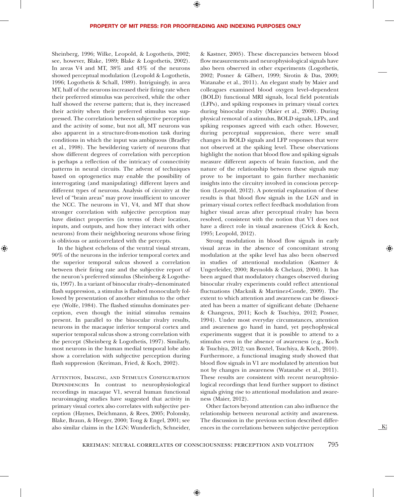Sheinberg, 1996; Wilke, Leopold, & Logothetis, 2002; see, however, Blake, 1989; Blake & Logothetis, 2002). In areas V4 and MT, 38% and 43% of the neurons showed perceptual modulation (Leopold & Logothetis, 1996; Logothetis & Schall, 1989). Intriguingly, in area MT, half of the neurons increased their firing rate when their preferred stimulus was perceived, while the other half showed the reverse pattern; that is, they increased their activity when their preferred stimulus was suppressed. The correlation between subjective perception and the activity of some, but not all, MT neurons was also apparent in a structure-from-motion task during conditions in which the input was ambiguous (Bradley et al., 1998). The bewildering variety of neurons that show different degrees of correlation with perception is perhaps a reflection of the intricacy of connectivity patterns in neural circuits. The advent of techniques based on optogenetics may enable the possibility of interrogating (and manipulating) different layers and different types of neurons. Analysis of circuitry at the level of "brain areas" may prove insufficient to uncover the NCC. The neurons in V1, V4, and MT that show stronger correlation with subjective perception may have distinct properties (in terms of their location, inputs, and outputs, and how they interact with other neurons) from their neighboring neurons whose firing is oblivious or anticorrelated with the percepts.

In the highest echelons of the ventral visual stream, 90% of the neurons in the inferior temporal cortex and the superior temporal sulcus showed a correlation between their firing rate and the subjective report of the neuron's preferred stimulus (Sheinberg & Logothetis, 1997). In a variant of binocular rivalry–denominated flash suppression, a stimulus is flashed monocularly followed by presentation of another stimulus to the other eye (Wolfe, 1984). The flashed stimulus dominates perception, even though the initial stimulus remains present. In parallel to the binocular rivalry results, neurons in the macaque inferior temporal cortex and superior temporal sulcus show a strong correlation with the percept (Sheinberg & Logothetis, 1997). Similarly, most neurons in the human medial temporal lobe also show a correlation with subjective perception during flash suppression (Kreiman, Fried, & Koch, 2002).

Attention, Imaging, and Stimulus Configuration Dependencies In contrast to neurophysiological recordings in macaque V1, several human functional neuroimaging studies have suggested that activity in primary visual cortex also correlates with subjective perception (Haynes, Deichmann, & Rees, 2005; Polonsky, Blake, Braun, & Heeger, 2000; Tong & Engel, 2001; see also similar claims in the LGN: Wunderlich, Schneider,

& Kastner, 2005). These discrepancies between blood flow measurements and neurophysiological signals have also been observed in other experiments (Logothetis, 2002; Posner & Gilbert, 1999; Sirotin & Das, 2009; Watanabe et al., 2011). An elegant study by Maier and colleagues examined blood oxygen level–dependent (BOLD) functional MRI signals, local field potentials (LFPs), and spiking responses in primary visual cortex during binocular rivalry (Maier et al., 2008). During physical removal of a stimulus, BOLD signals, LFPs, and spiking responses agreed with each other. However, during perceptual suppression, there were small changes in BOLD signals and LFP responses that were not observed at the spiking level. These observations highlight the notion that blood flow and spiking signals measure different aspects of brain function, and the nature of the relationship between these signals may prove to be important to gain further mechanistic insights into the circuitry involved in conscious perception (Leopold, 2012). A potential explanation of these results is that blood flow signals in the LGN and in primary visual cortex reflect feedback modulation from higher visual areas after perceptual rivalry has been resolved, consistent with the notion that V1 does not have a direct role in visual awareness (Crick & Koch, 1995; Leopold, 2012).

Strong modulation in blood flow signals in early visual areas in the absence of concomitant strong modulation at the spike level has also been observed in studies of attentional modulation (Kastner & Ungerleider, 2000; Reynolds & Chelazzi, 2004). It has been argued that modulatory changes observed during binocular rivalry experiments could reflect attentional fluctuations (Macknik & Martinez-Conde, 2009). The extent to which attention and awareness can be dissociated has been a matter of significant debate (Dehaene & Changeux, 2011; Koch & Tsuchiya, 2012; Posner, 1994). Under most everyday circumstances, attention and awareness go hand in hand, yet psychophysical experiments suggest that it is possible to attend to a stimulus even in the absence of awareness (e.g., Koch & Tsuchiya, 2012; van Boxtel, Tsuchiya, & Koch, 2010). Furthermore, a functional imaging study showed that blood flow signals in V1 are modulated by attention but not by changes in awareness (Watanabe et al., 2011). These results are consistent with recent neurophysiological recordings that lend further support to distinct signals giving rise to attentional modulation and awareness (Maier, 2012).

Other factors beyond attention can also influence the relationship between neuronal activity and awareness. The discussion in the previous section described differences in the correlations between subjective perception

 $K_2^c$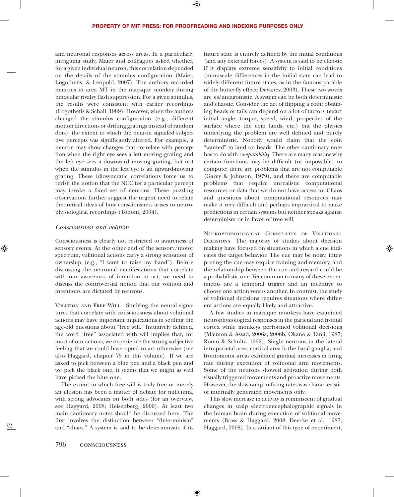and neuronal responses across areas. In a particularly intriguing study, Maier and colleagues asked whether, for a given individual neuron, this correlation depended on the details of the stimulus configuration (Maier, Logothetis, & Leopold, 2007). The authors recorded neurons in area MT in the macaque monkey during binocular rivalry flash suppression. For a given stimulus, the results were consistent with earlier recordings (Logothetis & Schall, 1989). However, when the authors changed the stimulus configuration (e.g., different motion directions or drifting gratings instead of random dots), the extent to which the neuron signaled subjective percepts was significantly altered. For example, a neuron may show changes that correlate with perception when the right eye sees a left moving grating and the left eye sees a downward moving grating, but not when the stimulus in the left eye is an upward-moving grating. These idiosyncratic correlations force us to revisit the notion that the NCC for a particular percept may invoke a fixed set of neurons. These puzzling observations further suggest the urgent need to relate theoretical ideas of how consciousness arises to neurophysiological recordings (Tononi, 2004).

## *Consciousness and volition*

Consciousness is clearly not restricted to awareness of sensory events. At the other end of the sensory/motor spectrum, volitional actions carry a strong sensation of ownership (e.g., "I want to raise my hand"). Before discussing the neuronal manifestations that correlate with our awareness of intention to act, we need to discuss the controversial notion that our volition and intentions are dictated by neurons.

VOLITION AND FREE WILL Studying the neural signatures that correlate with consciousness about volitional actions may have important implications in settling the age-old questions about "free will." Intuitively defined, the word "free" associated with will implies that, for most of our actions, we experience the strong subjective feeling that we could have opted to act otherwise (see also Haggard, chapter 75 in this volume). If we are asked to pick between a blue pen and a black pen and we pick the black one, it seems that we might as well have picked the blue one.

The extent to which free will is truly free or merely an illusion has been a matter of debate for millennia, with strong advocates on both sides (for an overview, see Haggard, 2008; Heisenberg, 2009). At least two main cautionary notes should be discussed here. The first involves the distinction between "determinism" and "chaos." A system is said to be deterministic if its future state is entirely defined by the initial conditions (and any external forces). A system is said to be chaotic if it displays extreme sensitivity to initial conditions (minuscule differences in the initial state can lead to widely different future states, as in the famous parable of the butterfly effect; Devaney, 2003). These two words are *not* antagonistic. A system can be both deterministic and chaotic. Consider the act of flipping a coin: obtaining heads or tails can depend on a lot of factors (exact initial angle, torque, speed, wind, properties of the surface where the coin lands, etc.) but the physics underlying the problem are well defined and purely deterministic. Nobody would claim that the coin "wanted" to land on heads. The other cautionary note has to do with *computability*. There are many reasons why certain functions may be difficult (or impossible) to compute: there are problems that are not computable (Garey & Johnson, 1979), and there are computable problems that require unrealistic computational resources or data that we do not have access to. Chaos and questions about computational resources may make it very difficult and perhaps impractical to make predictions in certain systems but neither speaks against determinism or in favor of free will.

Neurophysiological Correlates of Volitional Decisions The majority of studies about decision making have focused on situations in which a cue indicates the target behavior. The cue may be noisy, interpreting the cue may require training and memory, and the relationship between the cue and reward could be a probabilistic one. Yet common to many of these experiments are a temporal trigger and an incentive to choose one action versus another. In contrast, the study of volitional decisions requires situations where different actions are equally likely and attractive.

A few studies in macaque monkeys have examined neurophysiological responses in the parietal and frontal cortex while monkeys performed volitional decisions (Maimon & Assad, 2006a, 2006b; Okano & Tanji, 1987; Romo & Schultz, 1992). Single neurons in the lateral intraparietal area, cortical area 5, the basal ganglia, and frontomotor areas exhibited gradual increases in firing rate during execution of volitional arm movements. Some of the neurons showed activation during both visually triggered movements and proactive movements. However, the slow ramp in firing rates was characteristic of internally generated movements only.

This slow increase in activity is reminiscent of gradual changes in scalp electroencephalographic signals in the human brain during execution of volitional movements (Brass & Haggard, 2008; Deecke et al., 1987; Haggard, 2008). In a variant of this type of experiment,

 $\zeta_2$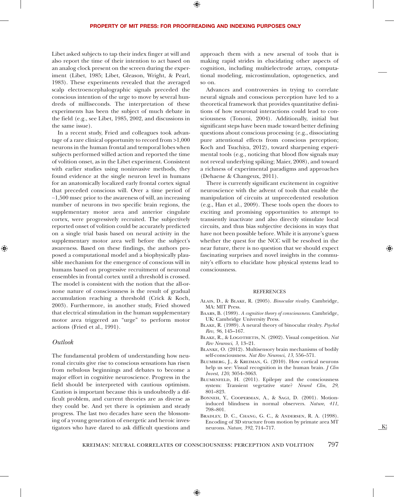Libet asked subjects to tap their index finger at will and also report the time of their intention to act based on an analog clock present on the screen during the experiment (Libet, 1985; Libet, Gleason, Wright, & Pearl, 1983). These experiments revealed that the averaged scalp electroencephalographic signals preceded the conscious intention of the urge to move by several hundreds of milliseconds. The interpretation of these experiments has been the subject of much debate in the field (e.g., see Libet, 1985, 2002, and discussions in the same issue).

In a recent study, Fried and colleagues took advantage of a rare clinical opportunity to record from >1,000 neurons in the human frontal and temporal lobes when subjects performed willed action and reported the time of volition onset, as in the Libet experiment. Consistent with earlier studies using noninvasive methods, they found evidence at the single neuron level in humans for an anatomically localized early frontal cortex signal that preceded conscious will. Over a time period of ∼1,500 msec prior to the awareness of will, an increasing number of neurons in two specific brain regions, the supplementary motor area and anterior cingulate cortex, were progressively recruited. The subjectively reported onset of volition could be accurately predicted on a single trial basis based on neural activity in the supplementary motor area well before the subject's awareness. Based on these findings, the authors proposed a computational model and a biophysically plausible mechanism for the emergence of conscious will in humans based on progressive recruitment of neuronal ensembles in frontal cortex until a threshold is crossed. The model is consistent with the notion that the all-ornone nature of consciousness is the result of gradual accumulation reaching a threshold (Crick & Koch, 2003). Furthermore, in another study, Fried showed that electrical stimulation in the human supplementary motor area triggered an "urge" to perform motor actions (Fried et al., 1991).

#### *Outlook*

⊕

The fundamental problem of understanding how neuronal circuits give rise to conscious sensations has risen from nebulous beginnings and debates to become a major effort in cognitive neuroscience. Progress in the field should be interpreted with cautious optimism. Caution is important because this is undoubtedly a difficult problem, and current theories are as diverse as they could be. And yet there is optimism and steady progress. The last two decades have seen the blossoming of a young generation of energetic and heroic investigators who have dared to ask difficult questions and approach them with a new arsenal of tools that is making rapid strides in elucidating other aspects of cognition, including multielectrode arrays, computational modeling, microstimulation, optogenetics, and so on.

Advances and controversies in trying to correlate neural signals and conscious perception have led to a theoretical framework that provides quantitative definitions of how neuronal interactions could lead to consciousness (Tononi, 2004). Additionally, initial but significant steps have been made toward better defining questions about conscious processing (e.g., dissociating pure attentional effects from conscious perception; Koch and Tsuchiya, 2012), toward sharpening experimental tools (e.g., noticing that blood flow signals may not reveal underlying spiking; Maier, 2008), and toward a richness of experimental paradigms and approaches (Dehaene & Changeux, 2011).

There is currently significant excitement in cognitive neuroscience with the advent of tools that enable the manipulation of circuits at unprecedented resolution (e.g., Han et al., 2009). These tools open the doors to exciting and promising opportunities to attempt to transiently inactivate and also directly stimulate local circuits, and thus bias subjective decisions in ways that have not been possible before. While it is anyone's guess whether the quest for the NCC will be resolved in the near future, there is no question that we should expect fascinating surprises and novel insights in the community's efforts to elucidate how physical systems lead to consciousness.

#### REFERENCES

- Alais, D., & Blake, R. (2005). *Binocular rivalry*. Cambridge, MA: MIT Press.
- Baars, B. (1989). *A cognitive theory of consciousness*. Cambridge, UK: Cambridge University Press.
- Blake, R. (1989). A neural theory of binocular rivalry. *Psychol Rev*, *96*, 145–167.
- Blake, R., & Logothetis, N. (2002). Visual competition. *Nat Rev Neurosci*, *3*, 13–21.
- Blanke, O. (2012). Multisensory brain mechanisms of bodily self-consciousness. *Nat Rev Neurosci*, *13*, 556–571.
- BLUMBERG, J., & KREIMAN, G. (2010). How cortical neurons help us see: Visual recognition in the human brain. *J Clin Invest*, *120*, 3054–3063.
- Blumenfeld, H. (2011). Epilepsy and the consciousness system: Transient vegetative state? *Neurol Clin*, *29*, 801–823.
- Bonneh, Y., Cooperman, A., & Sagi, D. (2001). Motioninduced blindness in normal observers. *Nature*, *411*, 798–801.
- Bradley, D. C., Chang, G. C., & Andersen, R. A. (1998). Encoding of 3D structure from motion by primate area MT neurons. *Nature*, *392*, 714–717.

 $K^c$ 

kreiman: neural correlates of consciousness: perception and volition 797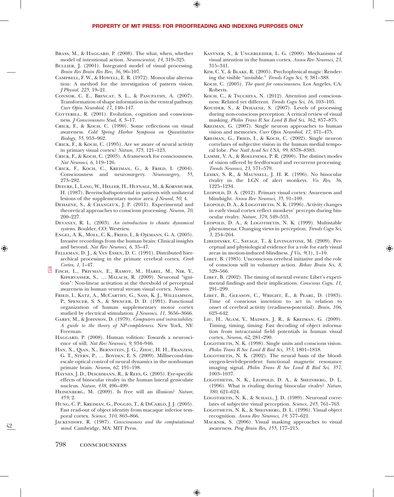- BRASS, M., & HAGGARD, P. (2008). The what, when, whether model of intentional action. *Neuroscientist*, *14*, 319–325.
- BULLIER, J. (2001). Integrated model of visual processing. *Brain Res Brain Res Rev*, *36*, 96–107.
- Campbell, F. W., & Howell, E. R. (1972). Monocular alternation: A method for the investigation of pattern vision. *J Physiol*, *225*, 19–21.
- Connor, C. E., Brincat, S. L., & Pasupathy, A. (2007). Transformation of shape information in the ventral pathway. *Curr Opin Neurobiol*, *17*, 140–147.
- COTTERILL, R. (2001). Evolution, cognition and consciousness. *J Consciousness Stud*, *8*, 3–17.
- Crick, F., & Koch, C. (1990). Some reflections on visual awareness. *Cold Spring Harbor Symposia on Quantitative Biology*, *55*, 953–962.
- Crick, F., & Koch, C. (1995). Are we aware of neural activity in primary visual cortex? *Nature*, *375*, 121–123.
- Crick, F., & Koch, C. (2003). A framework for consciousness. *Nat Neurosci*, *6*, 119–126.
- Crick, F., Koch, C., Kreiman, G., & Fried, I. (2004). Consciousness and neurosurgery. *Neurosurgery*, *55*, 273–282.
- Deecke, I., Lang, W., Heller, H., Hufnagl, M., & Kornhuber, H. (1987). Bereitschaftspotential in patients with unilateral lesions of the supplementary motor area. *J Neurol*, *50*, 4.
- Dehaene, S., & Changeux, J. P. (2011). Experimental and theoretical approaches to conscious processing. *Neuron*, *70*, 200–227.
- Devaney, R. L. (2003). *An introduction to chaotic dynamical systems*. Boulder, CO: Westview.
- Engel, A. K., Moll, C. K., Fried, I., & Ojemann, G. A. (2005). Invasive recordings from the human brain: Clinical insights and beyond. *Nat Rev Neurosci*, *6*, 35–47.
- Felleman, D. J., & Van Essen, D. C. (1991). Distributed hierarchical processing in the primate cerebral cortex. *Cereb Cortex*, *1*, 1–47.
- I FISCH, L., PRIVMAN, E., RAMOT, M., HAREL, M., NIR, Y., Kipervasser, S., … Malach, R. (2009). Neuronal "ignition": Non-linear activation at the threshold of perceptual awareness in human ventral stream visual cortex. *Neuron*.
	- Fried, I., Katz, A., McCarthy, G., Sass, K. J., Williamson, P., Spencer, S. S., & Spencer, D. D. (1991). Functional organization of human supplementary motor cortex studied by electrical stimulation. *J Neurosci*, *11*, 3656–3666.
	- Garey, M., & Johnson, D. (1979). *Computers and intractability: A guide to the theory of NP-completeness*. New York, NY: Freeman.
	- HAGGARD, P. (2008). Human volition: Towards a neuroscience of will. *Nat Rev Neurosci*, *9*, 934–946.
	- Han, X., Qian, X., Bernstein, J. G., Zhou, H. H., Franzesi, G. T., STERN, P., ... BOYDEN, E. S. (2009). Millisecond-timescale optical control of neural dynamics in the nonhuman primate brain. *Neuron*, *62*, 191–198.
	- HAYNES, J. D., DEICHMANN, R., & REES, G. (2005). Eye-specific effects of binocular rivalry in the human lateral geniculate nucleus. *Nature*, *438*, 496–499.
	- Heisenberg, M. (2009). Is free will an illusion? *Nature*, *459*, 2.
	- Hung, C. P., Kreiman, G., Poggio, T., & DiCarlo, J. J. (2005). Fast read-out of object identity from macaque inferior temporal cortex. *Science*, *310*, 863–866.
	- Jackendoff, R. (1987). *Consciousness and the computational mind*. Cambridge, MA: MIT Press.
- Kastner, S., & Ungerleider, L. G. (2000). Mechanisms of visual attention in the human cortex. *Annu Rev Neurosci*, *23*, 315–341.
- Kim, C. Y., & Blake, R. (2005). Psychophysical magic: Rendering the visible "invisible." *Trends Cogn Sci*, *9*, 381–388.
- Koch, C. (2005). *The quest for consciousness*. Los Angeles, CA: Roberts.
- Koch, C., & Tsuchiya, N. (2012). Attention and consciousness: Related yet different. *Trends Cogn Sci*, *16*, 103–105.
- KOUIDER, S., & DEHAENE, S. (2007). Levels of processing during non-conscious perception: A critical review of visual masking. *Philos Trans R Soc Lond B Biol Sci*, *362*, 857–875.
- Kreiman, G. (2007). Single neuron approaches to human vision and memories. *Curr Opin Neurobiol*, *17*, 471–475.
- Kreiman, G., Fried, I., & Koch, C. (2002). Single neuron correlates of subjective vision in the human medial temporal lobe. *Proc Natl Acad Sci USA*, *99*, 8378–8383.
- Lamme, V. A., & Roelfsema, P. R. (2000). The distinct modes of vision offered by feedforward and recurrent processing. *Trends Neurosci*, *23*, 571–579.
- Lehky, S. R., & Maunsell, J. H. R. (1996). No binocular rivalry in the LGN of alert monkeys. *Vis Res*, *36*, 1225–1234.
- LEOPOLD, D. A. (2012). Primary visual cortex: Awareness and blindsight. *Annu Rev Neurosci*, *35*, 91–109.
- LEOPOLD, D. A., & LOGOTHETIS, N. K. (1996). Activity changes in early visual cortex reflect monkeys' percepts during binocular rivalry. *Nature*, *379*, 549–553.
- LEOPOLD, D. A., & LOGOTHETIS, N. K. (1999). Multistable phenomena: Changing views in perception. *Trends Cogn Sci*, *3*, 254–264.
- Libedinsky, C., Savage, T., & Livingstone, M. (2009). Perceptual and physiological evidence for a role for early visual areas in motion-induced blindness. *J Vis*, *9*(1), 1–10.

⊕

- LIBET, B. (1985). Unconscious cerebral initiative and the role of conscious will in voluntary action. *Behav Brain Sci*, *8*, 529–566.
- LIBET, B. (2002). The timing of mental events: Libet's experimental findings and their implications. *Conscious Cogn*, *11*, 291–299.
- Libet, B., Gleason, C., Wright, E., & Pearl, D. (1983). Time of conscious intention to act in relation to onset of cerebral activity (readiness-potential). *Brain*, *106*, 623–642.
- Liu, H., Agam, Y., Madsen, J. R., & Kreiman, G. (2009). Timing, timing, timing: Fast decoding of object information from intracranial field potentials in human visual cortex. *Neuron*, *62*, 281–290.
- LOGOTHETIS, N. K. (1998). Single units and conscious vision. *Philos Trans R Soc Lond B Biol Sci*, *353*, 1801–1818.
- LOGOTHETIS, N. K. (2002). The neural basis of the bloodoxygen-level-dependent functional magnetic resonance imaging signal. *Philos Trans R Soc Lond B Biol Sci*, *357*, 1003–1037.
- Logothetis, N. K., Leopold, D. A., & Sheinberg, D. L. (1996). What is rivaling during binocular rivalry? *Nature*, *380*, 621–624.
- LOGOTHETIS, N. K., & SCHALL, J. D. (1989). Neuronal correlates of subjective visual perception. *Science*, *245*, 761–763.
- Logothetis, N. K., & Sheinberg, D. L. (1996). Visual object recognition. *Annu Rev Neurosci*, *19*, 577–621.
- Macknik, S. (2006). Visual masking approaches to visual awareness. *Prog Brain Res*, *155*, 177–215.

## 798 consciousness

K2

⊕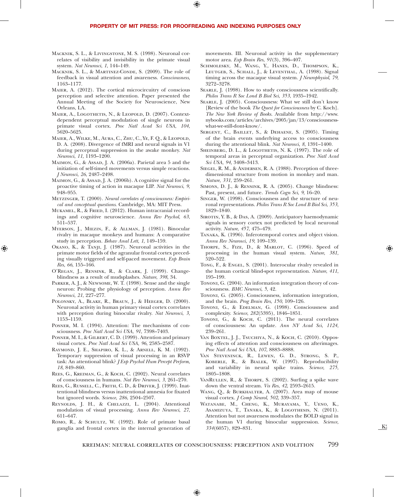- Macknik, S. L., & Livingstone, M. S. (1998). Neuronal correlates of visibility and invisibility in the primate visual system. *Nat Neurosci*, *1*, 144–149.
- MACKNIK, S. L., & MARTINEZ-CONDE, S. (2009). The role of feedback in visual attention and awareness. *Consciousness*, 1163–1177.
- Maier, A. (2012). The cortical microcircuitry of conscious perception and selective attention. Paper presented the Annual Meeting of the Society for Neuroscience, New Orleans, LA.
- MAIER, A., LOGOTHETIS, N., & LEOPOLD, D. (2007). Contextdependent perceptual modulation of single neurons in primate visual cortex. *Proc Natl Acad Sci USA*, *104*, 5620–5625.
- Maier, A., Wilke, M., Aura, C., Zhu, C., Ye, F. Q., & Leopold, D. A. (2008). Divergence of fMRI and neural signals in V1 during perceptual suppression in the awake monkey. *Nat Neurosci*, *11*, 1193–1200.
- MAIMON, G., & Assan, J. A. (2006a). Parietal area 5 and the initiation of self-timed movements versus simple reactions. *J Neurosci*, *26*, 2487–2498.
- MAIMON, G., & Assan, J. A. (2006b). A cognitive signal for the proactive timing of action in macaque LIP. *Nat Neurosci*, *9*, 948–955.
- Metzinger, T. (2000). *Neural correlates of consciousness: Empirical and conceptual questions*. Cambridge, MA: MIT Press.
- Mukamel, R., & Fried, I. (2012). Human intracranial recordings and cognitive neuroscience. *Annu Rev Psychol*, *63*, 511–537.
- Myerson, J., Miezin, F., & Allman, J. (1981). Binocular rivalry in macaque monkeys and humans: A comparative study in perception. *Behav Anal Lett*, *1*, 149–159.
- Okano, K., & Tanji, J. (1987). Neuronal activities in the primate motor fields of the agranular frontal cortex preceding visually triggered and self-paced movement. *Exp Brain Res*, *66*, 155–166.

⊕

- O'Regan, J., Rensink, R., & Clark, J. (1999). Changeblindness as a result of mudsplashes. *Nature*, *398*, 34.
- PARKER, A. J., & NEWSOME, W. T. (1998). Sense and the single neuron: Probing the physiology of perception. *Annu Rev Neurosci*, *21*, 227–277.
- Polonsky, A., Blake, R., Braun, J., & Heeger, D. (2000). Neuronal activity in human primary visual cortex correlates with perception during binocular rivalry. *Nat Neurosci*, *3*, 1153–1159.
- Posner, M. I. (1994). Attention: The mechanisms of consciousness. *Proc Natl Acad Sci USA*, *91*, 7398–7403.
- POSNER, M. I., & GILBERT, C. D. (1999). Attention and primary visual cortex. *Proc Natl Acad Sci USA*, *96*, 2585–2587.
- Raymond, J. E., Shapiro, K. L., & Arnell, K. M. (1992). Temporary suppression of visual processing in an RSVP task: An attentional blink? *J Exp Psychol Hum Percept Perform*, *18*, 849–860.
- Rees, G., Kreiman, G., & Koch, C. (2002). Neural correlates of consciousness in humans. *Nat Rev Neurosci*, *3*, 261–270.
- Rees, G., Russell, C., Frith, C. D., & Driver, J. (1999). Inattentional blindness versus inattentional amnesia for fixated but ignored words. *Science*, *286*, 2504–2507.
- Reynolds, J. H., & Chelazzi, L. (2004). Attentional modulation of visual processing. *Annu Rev Neurosci*, *27*, 611–647.
- ROMO, R., & SCHULTZ, W. (1992). Role of primate basal ganglia and frontal cortex in the internal generation of

movements. III. Neuronal activity in the supplementary motor area. *Exp Brain Res*, *91*(3), 396–407.

- Schmolesky, M., Wang, Y., Hanes, D., Thompson, K., LEUTGEB, S., SCHALL, J., & LEVENTHAL, A. (1998). Signal timing across the macaque visual system. *J Neurophysiol*, *79*, 3272–3278.
- SEARLE, J. (1998). How to study consciousness scientifically. *Philos Trans R Soc Lond B Biol Sci*, *353*, 1935–1942.
- SEARLE, J. (2005). Consciousness: What we still don't know [Review of the book *The Quest for Consciousness* by C. Koch]. *The New York Review of Books*. Available from http://www. nybooks.com/articles/archives/2005/jan/13/consciousnesswhat-we-still-dont-know/.
- SERGENT, C., BAILLET, S., & DEHAENE, S. (2005). Timing of the brain events underlying access to consciousness during the attentional blink. *Nat Neurosci*, *8*, 1391–1400.
- SHEINBERG, D. L., & LOGOTHETIS, N. K. (1997). The role of temporal areas in perceptual organization. *Proc Natl Acad Sci USA*, *94*, 3408–3413.
- SIEGEL, R. M., & ANDERSEN, R. A. (1988). Perception of threedimensional structure from motion in monkey and man. *Nature*, *331*, 259–261.
- Simons, D. J., & Rensink, R. A. (2005). Change blindness: Past, present, and future. *Trends Cogn Sci*, *9*, 16–20.
- SINGER, W. (1998). Consciousness and the structure of neuronal representations. *Philos Trans R Soc Lond B Biol Sci*, *353*, 1829–1840.
- SIROTIN, Y. B., & DAS, A. (2009). Anticipatory haemodynamic signals in sensory cortex not predicted by local neuronal activity. *Nature*, *457*, 475–479.
- Tanaka, K. (1996). Inferotemporal cortex and object vision. *Annu Rev Neurosci*, *19*, 109–139.
- THORPE, S., FIZE, D., & MARLOT, C. (1996). Speed of processing in the human visual system. *Nature*, *381*, 520–522.
- Tong, F., & Engel, S. (2001). Interocular rivalry revealed in the human cortical blind-spot representation. *Nature*, *411*, 195–199.
- Tononi, G. (2004). An information integration theory of consciousness. *BMC Neurosci*, *5*, 42.
- Tononi, G. (2005). Consciousness, information integration, and the brain. *Prog Brain Res*, *150*, 109–126.
- TONONI, G., & EDELMAN, G. (1998). Consciousness and complexity. *Science*, *282*(5395), 1846–1851.
- Tononi, G., & Koch, C. (2011). The neural correlates of consciousness: An update. *Ann NY Acad Sci*, *1124*, 239–261.
- Van Boxtel, J. J., Tsuchiya, N., & Koch, C. (2010). Opposing effects of attention and consciousness on afterimages. *Proc Natl Acad Sci USA*, *107*, 8883–8888.
- Van Steveninck, R., Lewen, G. D., Strong, S. P., Koberle, R., & Bialek, W. (1997). Reproducibility and variability in neural spike trains. *Science*, *275*, 1805–1808.
- VanRullen, R., & Thorpe, S. (2002). Surfing a spike wave down the ventral stream. *Vis Res*, *42*, 2593–2615.
- WANG, Q., & BURKHALTER, A. (2007). Area map of mouse visual cortex. *J Comp Neurol*, *502*, 339–357.
- Watanabe, M., Cheng, K., Murayama, Y., Ueno, K., ASAMIZUYA, T., TANAKA, K., & LOGOTHESIS, N. (2011). Attention but not awareness modulates the BOLD signal in the human V1 during binocular suppression. *Science*, *334*(6057), 829–831.

 $K_2^c$ 

⊕

kreiman: neural correlates of consciousness: perception and volition 799